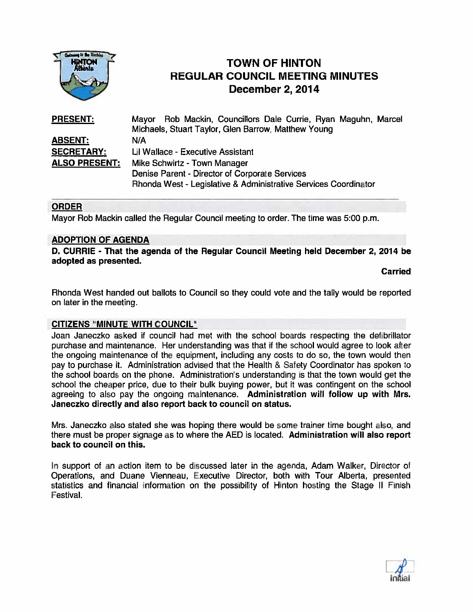

# TOWN OF HINTON REGULAR COUNCIL MEETING MINUTES TOWN OF HINTON<br>
HAMPION<br>
REGULAR COUNCIL MEETIN<br>
December 2, 2014

| <b>PRESENT:</b>      | Mayor Rob Mackin, Councillors Dale Currie, Ryan Maguhn, Marcel  |
|----------------------|-----------------------------------------------------------------|
|                      | Michaels, Stuart Taylor, Glen Barrow, Matthew Young             |
| <b>ABSENT:</b>       | N/A                                                             |
| <b>SECRETARY:</b>    | Lil Wallace - Executive Assistant                               |
| <b>ALSO PRESENT:</b> | Mike Schwirtz - Town Manager                                    |
|                      | Denise Parent - Director of Corporate Services                  |
|                      | Rhonda West - Legislative & Administrative Services Coordinator |

# ORDER

Mayor Rob Mackin called the Regular Council meeting to order. The time was 5:00 p.m.

## ADOPTION OF AGENDA

D. CURRIE - That the agenda of the Regular Council Meeting held December 2, 2014 be adopted as presented.

Carried

Rhonda West handed out ballots to Council so they could vote and the tally would be reported on later in the meeting.

## CITIZENS "MINUTE WITH COUNCIL'

Joan Janeczko asked if council had met with the school boards respecting the defibrillator purchase and maintenance. Her understanding was that if the school would agree to look after the ongoing maintenance of the equipment, including any costs to do so, the town would then pay to purchase it. Administration advised that the Health & Safety Coordinator has spoken to the school boards on the phone. Administration's understanding is that the town would ge<sup>t</sup> the school the cheaper price, due to their bulk buying power, but it was contingent on the school agreeing to also pay the ongoing maintenance. Administration will follow up with Mrs. Janeczko directly and also repor<sup>t</sup> back to council on status.

Mrs. Janeczko also stated she was hoping there would be some trainer time bought also, and there must be proper signage as to where the AED is located. Administration will also repor<sup>t</sup> back to council on this.

In suppor<sup>t</sup> of an action item to be discussed later in the agenda, Adam Walker, Director of Operations, and Duane Vienneau, Executive Director, both with Tour Alberta, presented statistics and financial information on the possibility of Hinton hosting the Stage II Finish Festival.

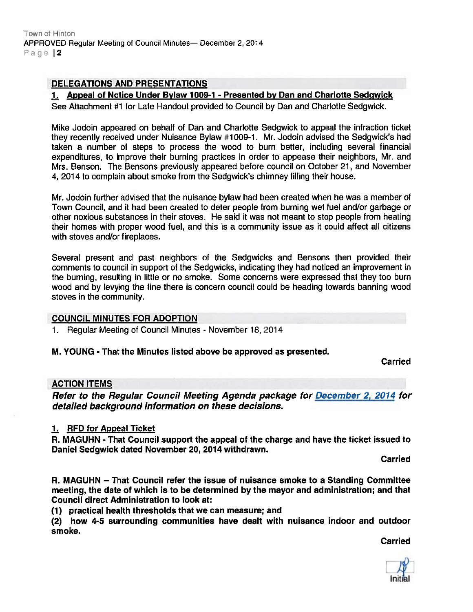## DELEGATIONS AND PRESENTATIONS

# 1. Appeal of Notice Under Bylaw 1009-1 - Presented by Dan and Charlotte Sedgwick

See Attachment #1 for Late Handout provided to Council by Dan and Charlotte Sedgwick.

Mike Jodoin appeared on behalf of Dan and Charlotte Sedgwick to appeal the infraction ticket they recently received under Nuisance Bylaw #1009-1. Mr. Jodoin advised the Sedgwick's had taken <sup>a</sup> number of steps to process the wood to burn better, including several tinancial expenditures, to improve their burning practices in order to appease their neighbors, Mr. and Mrs. Benson. The Bensons previously appeared before council on October 21, and November 4, 2014 lo complain about smoke from the Sedgwick's chimney filling their house.

Mr. Jodoin further advised that the nuisance bylaw had been created when he was <sup>a</sup> member of Town Council, and it had been created to deter people from burning wet fuel and/or garbage or other noxious substances in their stoves. He said it was not meant to stop people from heating their homes with proper wood fuel, and this is <sup>a</sup> community issue as it could affect all citizens with stoves and/or fireplaces.

Several presen<sup>t</sup> and pas<sup>t</sup> neighbors of the Sedgwicks and Bensons then provided their comments to council in suppor<sup>t</sup> of the Sedgwicks, indicating they had noticed an improvement in the burning, resulting in little or no smoke. Some concerns were expressed that they too burn wood and by levying the fine there is concern council could be heading towards banning wood stoves in the community.

# COUNCIL MINUTES FOR ADOPTION

1. Regular Meeting of Council Minutes - November 18, 2014

#### M. YOUNG - That the Minutes listed above be approved as presented.

Carried

#### ACTION ITEMS

Refer to the Regular Council Meeting Agenda package for December 2, 2014 for detailed background information on these decisions.

## 1. RFD for Appeal Ticket

R. MAGUHN - That Council suppor<sup>t</sup> the appeal of the charge and have the ticket issued to Daniel Sedgwick dated November 20, 2014 withdrawn.

Carried

P. MAGUHN — That Council refer the issue of nuisance smoke to <sup>a</sup> Standing Committee meeting, the date of which is to be determined by the mayor and administration; and that Council direct Administration to look at:

(1) practical health thresholds that we can measure; and

(2) how 4-5 surrounding communities have dealt with nuisance indoor and outdoor smoke.

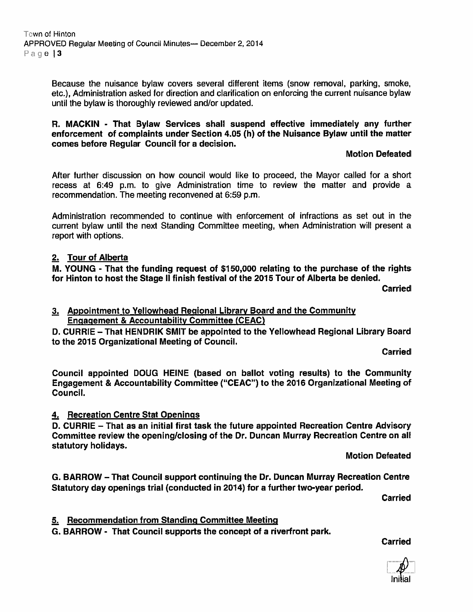Because the nuisance bylaw covers several different items (snow removal, parking, smoke, etc.), Administration asked for direction and clarification on enforcing the current nuisance bylaw until the bylaw is thoroughly reviewed and/or updated.

H. MACKIN - That Bylaw Services shall suspend effective immediately any further enforcement of complaints under Section 4.05 (h) of the Nuisance Bylaw until the matter comes before Regular Council for <sup>a</sup> decision.

#### Motion Defeated

After further discussion on how council would like to proceed, the Mayor called for <sup>a</sup> short recess at 6:49 p.m. to give Administration time to review the matter and provide <sup>a</sup> recommendation. The meeting reconvened at 6:59 p.m.

Administration recommended to continue with enforcement of infractions as set out in the current bylaw until the next Standing Committee meeting, when Administration will presen<sup>t</sup> <sup>a</sup> repor<sup>t</sup> with options.

## 2. Tour of Alberta

M. YOUNG - That the funding reques<sup>t</sup> of \$150,000 relating to the purchase of the rights for Hinton to host the Stage II finish festival of the 2015 Tour of Alberta be denied.

**Carried** 

3. Appointment to Yellowhead Regional Library Board and the Community Engagement & Accountability Committee (CEAC)

D. CURRIE - That HENDRIK SMIT be appointed to the Yellowhead Regional Library Board to the 2015 Organizational Meeting of Council.

Carried

Council appointed DOUG HEINE (based on ballot voting results) to the Community Engagement & Accountability Committee ("CEAC") to the 2016 Organizational Meeting of Council.

#### 4. Recreation Centre Stat Openings

D. CURRIE — That as an initial first task the future appointed Recreation Centre Advisory Committee review the opening/closing of the Dr. Duncan Murray Recreation Centre on all statutory holidays.

Motion Defeated

0. BARROW — That Council suppor<sup>t</sup> continuing the Dr. Duncan Murray Recreation Centre Statutory day openings trial (conducted in 2014) for <sup>a</sup> further two-year period.

Carried

## 5. Recommendation from Standing Committee Meeting

0. BARROW - That Council supports the concep<sup>t</sup> of <sup>a</sup> riverfront park.

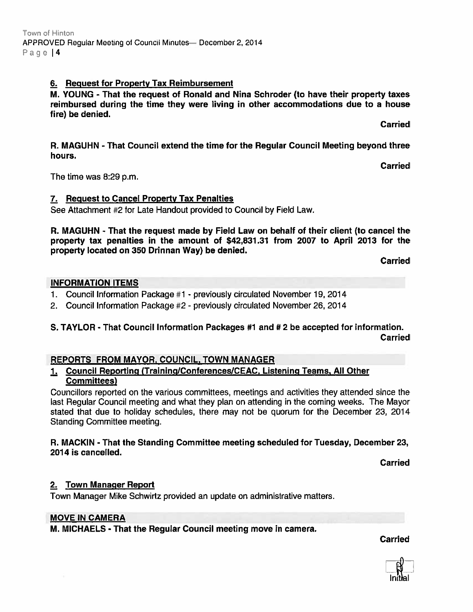# 6. Request for Property Tax Reimbursement

M. YOUNG - That the reques<sup>t</sup> of Ronald and Nina Schroder (to have their property taxes reimbursed during the time they were living in other accommodations due to <sup>a</sup> house fire) be denied.

Carried

**Carried** 

R. MAGUHN - That Council extend the time for the Regular Council Meeting beyond three hours.

The time was 8:29 p.m.

#### 7. Request to Cancel Property Tax Penalties

See Attachment #2 for Late Handout provided to Council by Field Law.

R. MAGUHN - That the reques<sup>t</sup> made by Field Law on behalf of their client (to cancel the property tax penalties in the amount of \$42,831.31 from 2007 to April 2013 for the property located on 350 Drinnan Way) be denied.

Carried

#### INFORMATION ITEMS

- 1. Council Information Package #1 previously circulated November 19, 2014
- 2. Council Information Package #2 previously circulated November 26, 2014

# S. TAYLOR - That Council Information Packages #1 and # 2 be accepted for information. Carried

## REPORTS FROM MAYOR, COUNCIL, TOWN MANAGER

# Council Reporting (Training/Conferences/CEAC, Listening Teams, All Other Committees)

Councillors reported on the various committees, meetings and activities they attended since the last Regular Council meeting and what they plan on attending in the coming weeks. The Mayor stated that due to holiday schedules, there may not be quorum for the December 23, 2014 Standing Committee meeting.

#### R. MACKIN - That the Standing Committee meeting scheduled for Tuesday, December 23, 2014 is cancelled.

Carried

## 2. Town Manager Report

Town Manager Mike Schwirtz provided an update on administrative matters.

#### MOVE IN CAMERA

M. MICHAELS - That the Regular Council meeting move in camera.

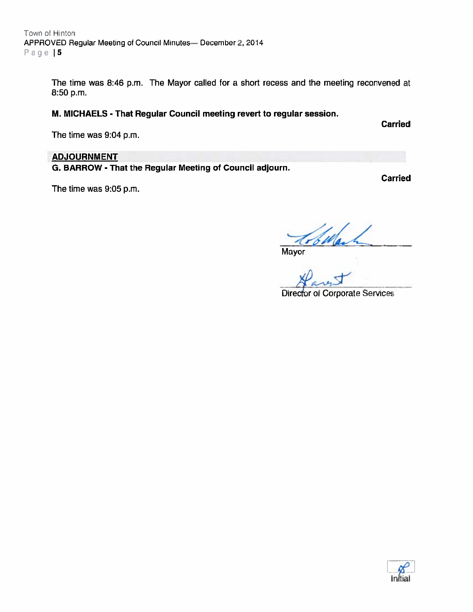The time was 8:46 p.m. The Mayor called for <sup>a</sup> short recess and the meeting reconvened at 8:50 p.m.

# M. MICHAELS - That Regular Council meeting revert to regular session.

The time was 9:04 p.m.

## **ADJOURNMENT**

G. BARROW - That the Regular Meeting of Council adjourn.

The time was 9:05 p.m.

Carried

Mayor

Dary

Diredor of Corporate Services